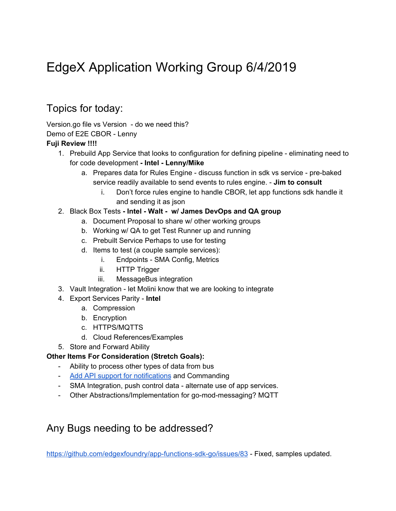# EdgeX Application Working Group 6/4/2019

### Topics for today:

Version.go file vs Version - do we need this? Demo of E2E CBOR - Lenny

#### **Fuji Review !!!!**

- 1. Prebuild App Service that looks to configuration for defining pipeline eliminating need to for code development **- Intel - Lenny/Mike**
	- a. Prepares data for Rules Engine discuss function in sdk vs service pre-baked service readily available to send events to rules engine. - **Jim to consult**
		- i. Don't force rules engine to handle CBOR, let app functions sdk handle it and sending it as json
- 2. Black Box Tests **- Intel - Walt - w/ James DevOps and QA group**
	- a. Document Proposal to share w/ other working groups
	- b. Working w/ QA to get Test Runner up and running
	- c. Prebuilt Service Perhaps to use for testing
	- d. Items to test (a couple sample services):
		- i. Endpoints SMA Config, Metrics
		- ii. HTTP Trigger
		- iii. MessageBus integration
- 3. Vault Integration let Molini know that we are looking to integrate
- 4. Export Services Parity **Intel**
	- a. Compression
	- b. Encryption
	- c. HTTPS/MQTTS
	- d. Cloud References/Examples
- 5. Store and Forward Ability

#### **Other Items For Consideration (Stretch Goals):**

- Ability to process other types of data from bus
- Add API support for [notifications](https://github.com/edgexfoundry/app-functions-sdk-go/issues/80) and Commanding
- SMA Integration, push control data alternate use of app services.
- Other Abstractions/Implementation for go-mod-messaging? MQTT

## Any Bugs needing to be addressed?

<https://github.com/edgexfoundry/app-functions-sdk-go/issues/83> - Fixed, samples updated.